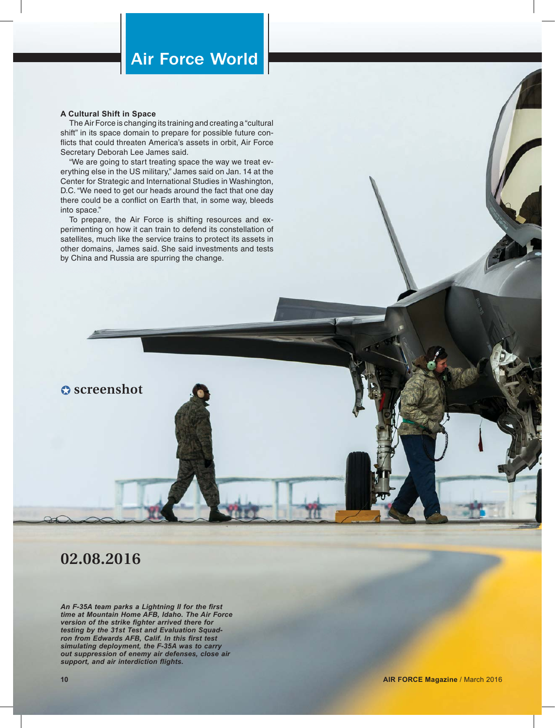# Air Force World

#### **A Cultural Shift in Space**

The Air Force is changing its training and creating a "cultural shift" in its space domain to prepare for possible future conflicts that could threaten America's assets in orbit, Air Force Secretary Deborah Lee James said.

"We are going to start treating space the way we treat everything else in the US military," James said on Jan. 14 at the Center for Strategic and International Studies in Washington, D.C. "We need to get our heads around the fact that one day there could be a conflict on Earth that, in some way, bleeds into space."

To prepare, the Air Force is shifting resources and experimenting on how it can train to defend its constellation of satellites, much like the service trains to protect its assets in other domains, James said. She said investments and tests by China and Russia are spurring the change.

### $\Omega$  screenshot

## **02.08.2016**

An F-35A team parks a Lightning II for the first *time at Mountain Home AFB, Idaho. The Air Force version of the strike fighter arrived there for testing by the 31st Test and Evaluation Squad*ron from Edwards AFB, Calif. In this first test *simulating deployment, the F-35A was to carry out suppression of enemy air defenses, close air*  support, and air interdiction flights.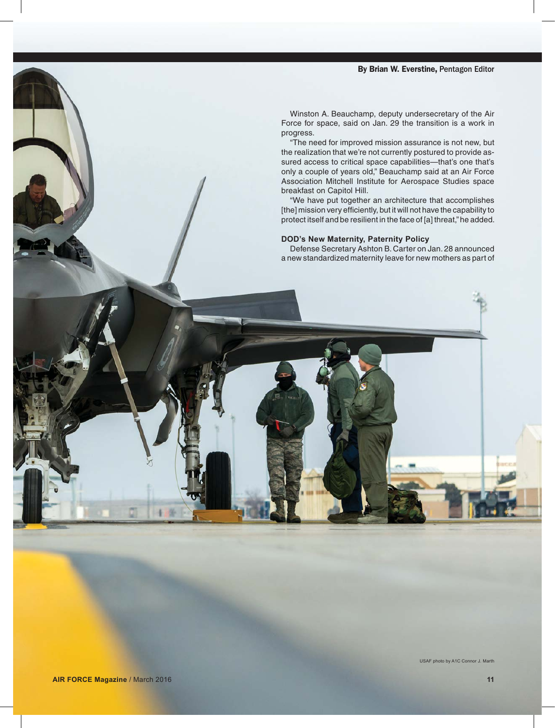### By Brian W. Everstine, Pentagon Editor

Winston A. Beauchamp, deputy undersecretary of the Air Force for space, said on Jan. 29 the transition is a work in progress.

"The need for improved mission assurance is not new, but the realization that we're not currently postured to provide assured access to critical space capabilities—that's one that's only a couple of years old," Beauchamp said at an Air Force Association Mitchell Institute for Aerospace Studies space breakfast on Capitol Hill.

"We have put together an architecture that accomplishes [the] mission very efficiently, but it will not have the capability to protect itself and be resilient in the face of [a] threat," he added.

### **DOD's New Maternity, Paternity Policy**

Defense Secretary Ashton B. Carter on Jan. 28 announced a new standardized maternity leave for new mothers as part of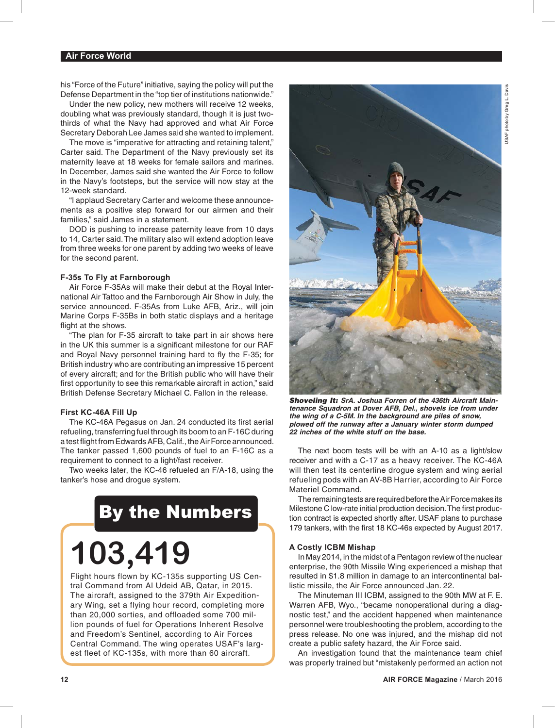### **Air Force World**

his "Force of the Future" initiative, saying the policy will put the Defense Department in the "top tier of institutions nationwide."

Under the new policy, new mothers will receive 12 weeks, doubling what was previously standard, though it is just twothirds of what the Navy had approved and what Air Force Secretary Deborah Lee James said she wanted to implement.

The move is "imperative for attracting and retaining talent," Carter said. The Department of the Navy previously set its maternity leave at 18 weeks for female sailors and marines. In December, James said she wanted the Air Force to follow in the Navy's footsteps, but the service will now stay at the 12-week standard.

"I applaud Secretary Carter and welcome these announcements as a positive step forward for our airmen and their families," said James in a statement.

DOD is pushing to increase paternity leave from 10 days to 14, Carter said. The military also will extend adoption leave from three weeks for one parent by adding two weeks of leave for the second parent.

### **F-35s To Fly at Farnborough**

Air Force F-35As will make their debut at the Royal International Air Tattoo and the Farnborough Air Show in July, the service announced. F-35As from Luke AFB, Ariz., will join Marine Corps F-35Bs in both static displays and a heritage flight at the shows.

"The plan for F-35 aircraft to take part in air shows here in the UK this summer is a significant milestone for our RAF and Royal Navy personnel training hard to fly the F-35; for British industry who are contributing an impressive 15 percent of every aircraft; and for the British public who will have their first opportunity to see this remarkable aircraft in action," said British Defense Secretary Michael C. Fallon in the release.

### **First KC-46A Fill Up**

The KC-46A Pegasus on Jan. 24 conducted its first aerial refueling, transferring fuel through its boom to an F-16C during a test flight from Edwards AFB, Calif., the Air Force announced. The tanker passed 1,600 pounds of fuel to an F-16C as a requirement to connect to a light/fast receiver.

Two weeks later, the KC-46 refueled an F/A-18, using the tanker's hose and drogue system.

# By the Numbers

# **103,419**

Flight hours flown by KC-135s supporting US Central Command from Al Udeid AB, Qatar, in 2015. The aircraft, assigned to the 379th Air Expeditionary Wing, set a flying hour record, completing more than 20,000 sorties, and offloaded some 700 million pounds of fuel for Operations Inherent Resolve and Freedom's Sentinel, according to Air Forces Central Command. The wing operates USAF's largest fleet of KC-135s, with more than 60 aircraft.



*Shoveling It: SrA. Joshua Forren of the 436th Aircraft Maintenance Squadron at Dover AFB, Del., shovels ice from under the wing of a C-5M. In the background are piles of snow, plowed off the runway after a January winter storm dumped 22 inches of the white stuff on the base.*

The next boom tests will be with an A-10 as a light/slow receiver and with a C-17 as a heavy receiver. The KC-46A will then test its centerline drogue system and wing aerial refueling pods with an AV-8B Harrier, according to Air Force Materiel Command.

The remaining tests are required before the Air Force makes its Milestone C low-rate initial production decision. The first production contract is expected shortly after. USAF plans to purchase 179 tankers, with the first 18 KC-46s expected by August 2017.

### **A Costly ICBM Mishap**

In May 2014, in the midst of a Pentagon review of the nuclear enterprise, the 90th Missile Wing experienced a mishap that resulted in \$1.8 million in damage to an intercontinental ballistic missile, the Air Force announced Jan. 22.

The Minuteman III ICBM, assigned to the 90th MW at F. E. Warren AFB, Wyo., "became nonoperational during a diagnostic test," and the accident happened when maintenance personnel were troubleshooting the problem, according to the press release. No one was injured, and the mishap did not create a public safety hazard, the Air Force said.

An investigation found that the maintenance team chief was properly trained but "mistakenly performed an action not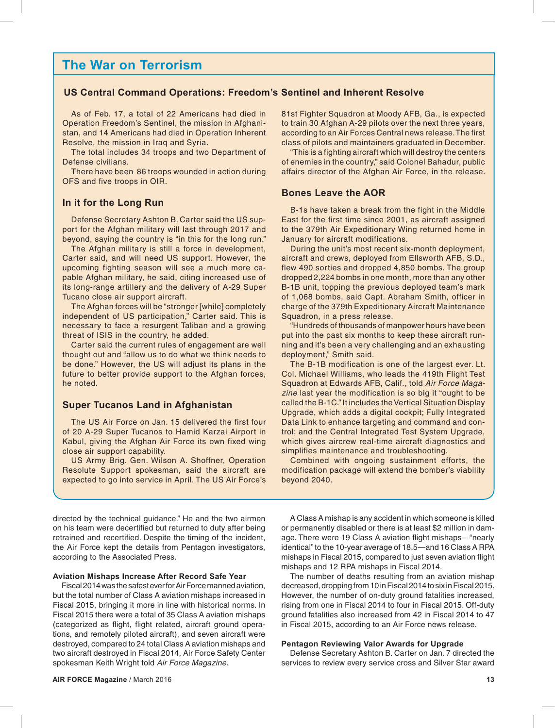### **The War on Terrorism**

### **US Central Command Operations: Freedom's Sentinel and Inherent Resolve**

As of Feb. 17, a total of 22 Americans had died in Operation Freedom's Sentinel, the mission in Afghanistan, and 14 Americans had died in Operation Inherent Resolve, the mission in Iraq and Syria.

The total includes 34 troops and two Department of Defense civilians.

There have been 86 troops wounded in action during OFS and five troops in OIR.

### **In it for the Long Run**

Defense Secretary Ashton B. Carter said the US support for the Afghan military will last through 2017 and beyond, saying the country is "in this for the long run."

The Afghan military is still a force in development, Carter said, and will need US support. However, the upcoming fighting season will see a much more capable Afghan military, he said, citing increased use of its long-range artillery and the delivery of A-29 Super Tucano close air support aircraft.

The Afghan forces will be "stronger [while] completely independent of US participation," Carter said. This is necessary to face a resurgent Taliban and a growing threat of ISIS in the country, he added.

Carter said the current rules of engagement are well thought out and "allow us to do what we think needs to be done." However, the US will adjust its plans in the future to better provide support to the Afghan forces, he noted.

### **Super Tucanos Land in Afghanistan**

The US Air Force on Jan. 15 delivered the first four of 20 A-29 Super Tucanos to Hamid Karzai Airport in Kabul, giving the Afghan Air Force its own fixed wing close air support capability.

US Army Brig. Gen. Wilson A. Shoffner, Operation Resolute Support spokesman, said the aircraft are expected to go into service in April. The US Air Force's 81st Fighter Squadron at Moody AFB, Ga., is expected to train 30 Afghan A-29 pilots over the next three years. according to an Air Forces Central news release. The first class of pilots and maintainers graduated in December.

"This is a fighting aircraft which will destroy the centers of enemies in the country," said Colonel Bahadur, public affairs director of the Afghan Air Force, in the release.

### **Bones Leave the AOR**

B-1s have taken a break from the fight in the Middle East for the first time since 2001, as aircraft assigned to the 379th Air Expeditionary Wing returned home in January for aircraft modifications.

During the unit's most recent six-month deployment, aircraft and crews, deployed from Ellsworth AFB, S.D., flew 490 sorties and dropped 4,850 bombs. The group dropped 2,224 bombs in one month, more than any other B-1B unit, topping the previous deployed team's mark of 1,068 bombs, said Capt. Abraham Smith, officer in charge of the 379th Expeditionary Aircraft Maintenance Squadron, in a press release.

"Hundreds of thousands of manpower hours have been put into the past six months to keep these aircraft running and it's been a very challenging and an exhausting deployment," Smith said.

The B-1B modification is one of the largest ever. Lt. Col. Michael Williams, who leads the 419th Flight Test Squadron at Edwards AFB, Calif., told *Air Force Magazine* last year the modification is so big it "ought to be called the B-1C." It includes the Vertical Situation Display Upgrade, which adds a digital cockpit; Fully Integrated Data Link to enhance targeting and command and control; and the Central Integrated Test System Upgrade, which gives aircrew real-time aircraft diagnostics and simplifies maintenance and troubleshooting.

Combined with ongoing sustainment efforts, the modification package will extend the bomber's viability beyond 2040.

directed by the technical guidance." He and the two airmen on his team were decertified but returned to duty after being retrained and recertified. Despite the timing of the incident, the Air Force kept the details from Pentagon investigators, according to the Associated Press.

### **Aviation Mishaps Increase After Record Safe Year**

Fiscal 2014 was the safest ever for Air Force manned aviation, but the total number of Class A aviation mishaps increased in Fiscal 2015, bringing it more in line with historical norms. In Fiscal 2015 there were a total of 35 Class A aviation mishaps (categorized as flight, flight related, aircraft ground operations, and remotely piloted aircraft), and seven aircraft were destroyed, compared to 24 total Class A aviation mishaps and two aircraft destroyed in Fiscal 2014, Air Force Safety Center spokesman Keith Wright told *Air Force Magazine.*

A Class A mishap is any accident in which someone is killed or permanently disabled or there is at least \$2 million in damage. There were 19 Class A aviation flight mishaps—"nearly identical" to the 10-year average of 18.5—and 16 Class A RPA mishaps in Fiscal 2015, compared to just seven aviation flight mishaps and 12 RPA mishaps in Fiscal 2014.

The number of deaths resulting from an aviation mishap decreased, dropping from 10 in Fiscal 2014 to six in Fiscal 2015. However, the number of on-duty ground fatalities increased, rising from one in Fiscal 2014 to four in Fiscal 2015. Off-duty ground fatalities also increased from 42 in Fiscal 2014 to 47 in Fiscal 2015, according to an Air Force news release.

### **Pentagon Reviewing Valor Awards for Upgrade**

Defense Secretary Ashton B. Carter on Jan. 7 directed the services to review every service cross and Silver Star award